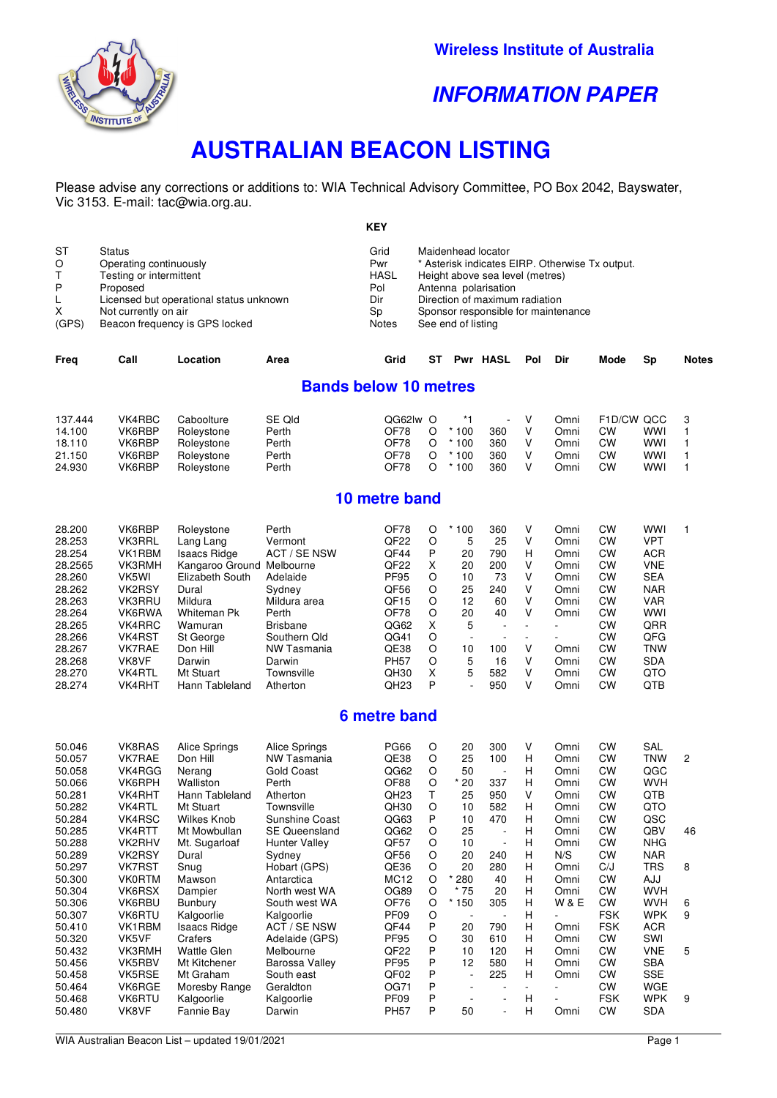

## **INFORMATION PAPER**

# **AUSTRALIAN BEACON LISTING**

Please advise any corrections or additions to: WIA Technical Advisory Committee, PO Box 2042, Bayswater, Vic 3153. E-mail: tac@wia.org.au.

|                                                                                                                                                                                              |                                                                                                                                          |                                                                                                                                          | <b>KEY</b>                                                                                                                      |                                                                                         |                                                                  |                                                                                             |                                                                   |                                                                      |                                                                                                                               |                                                                                                                                          |                                                        |
|----------------------------------------------------------------------------------------------------------------------------------------------------------------------------------------------|------------------------------------------------------------------------------------------------------------------------------------------|------------------------------------------------------------------------------------------------------------------------------------------|---------------------------------------------------------------------------------------------------------------------------------|-----------------------------------------------------------------------------------------|------------------------------------------------------------------|---------------------------------------------------------------------------------------------|-------------------------------------------------------------------|----------------------------------------------------------------------|-------------------------------------------------------------------------------------------------------------------------------|------------------------------------------------------------------------------------------------------------------------------------------|--------------------------------------------------------|
| <b>Status</b><br>Operating continuously<br>Testing or intermittent<br>Proposed<br>Licensed but operational status unknown<br>Not currently on air<br>(GPS)<br>Beacon frequency is GPS locked |                                                                                                                                          |                                                                                                                                          | Grid<br>Pwr<br><b>HASL</b><br>Pol<br>Dir<br>Sp<br><b>Notes</b>                                                                  |                                                                                         |                                                                  |                                                                                             |                                                                   |                                                                      |                                                                                                                               |                                                                                                                                          |                                                        |
| Call                                                                                                                                                                                         | Location                                                                                                                                 | Area                                                                                                                                     | Grid                                                                                                                            | ST                                                                                      |                                                                  |                                                                                             | Pol                                                               | Dir                                                                  | Mode                                                                                                                          | Sp                                                                                                                                       | <b>Notes</b>                                           |
|                                                                                                                                                                                              |                                                                                                                                          |                                                                                                                                          |                                                                                                                                 |                                                                                         |                                                                  |                                                                                             |                                                                   |                                                                      |                                                                                                                               |                                                                                                                                          |                                                        |
| VK4RBC<br>VK6RBP<br>VK6RBP<br>VK6RBP<br>VK6RBP                                                                                                                                               | Caboolture<br>Roleystone<br>Roleystone<br>Roleystone<br>Roleystone                                                                       | SE Qld<br>Perth<br>Perth<br>Perth<br>Perth                                                                                               | OF78<br>OF78<br>OF78<br>OF78                                                                                                    | $\circ$<br>$\circ$<br>O<br>O                                                            | $*1$<br>$*100$<br>$*100$<br>$*100$<br>$*100$                     | $\overline{a}$<br>360<br>360<br>360<br>360                                                  | v<br>v<br>V<br>v<br>v                                             | Omni<br>Omni<br>Omni<br>Omni<br>Omni                                 | <b>CW</b><br><b>CW</b><br><b>CW</b><br><b>CW</b>                                                                              | <b>WWI</b><br><b>WWI</b><br><b>WWI</b><br><b>WWI</b>                                                                                     | 3<br>1<br>$\mathbf{1}$<br>$\mathbf{1}$<br>$\mathbf{1}$ |
|                                                                                                                                                                                              |                                                                                                                                          |                                                                                                                                          |                                                                                                                                 |                                                                                         |                                                                  |                                                                                             |                                                                   |                                                                      |                                                                                                                               |                                                                                                                                          |                                                        |
| VK6RBP<br><b>VK3RRL</b><br>VK1RBM<br>VK3RMH<br>VK5WI<br>VK2RSY<br>VK3RRU<br>VK6RWA<br>VK4RRC<br>VK4RST<br>VK7RAE                                                                             | Roleystone<br>Lang Lang<br><b>Isaacs Ridge</b><br>Elizabeth South<br>Dural<br>Mildura<br>Whiteman Pk<br>Wamuran<br>St George<br>Don Hill | Perth<br>Vermont<br><b>ACT / SE NSW</b><br>Adelaide<br>Sydney<br>Mildura area<br>Perth<br><b>Brisbane</b><br>Southern Old<br>NW Tasmania | OF78<br>QF <sub>22</sub><br>QF44<br>QF <sub>22</sub><br><b>PF95</b><br>QF56<br>QF <sub>15</sub><br>OF78<br>QG62<br>QG41<br>QE38 | O<br>$\circ$<br>P<br>X<br>$\circ$<br>$\circ$<br>$\circ$<br>$\circ$<br>X<br>$\circ$<br>O | $*100$<br>5<br>20<br>20<br>10<br>25<br>12<br>20<br>5<br>÷,<br>10 | 360<br>25<br>790<br>200<br>73<br>240<br>60<br>40<br>$\blacksquare$<br>$\blacksquare$<br>100 | V<br>V<br>н<br>V<br>v<br>v<br>V<br>v<br>v                         | Omni<br>Omni<br>Omni<br>Omni<br>Omni<br>Omni<br>Omni<br>Omni<br>Omni | <b>CW</b><br><b>CW</b><br>CW<br><b>CW</b><br>CW<br><b>CW</b><br><b>CW</b><br><b>CW</b><br><b>CW</b><br><b>CW</b><br><b>CW</b> | <b>WWI</b><br><b>VPT</b><br><b>ACR</b><br><b>VNE</b><br><b>SEA</b><br><b>NAR</b><br><b>VAR</b><br><b>WWI</b><br>QRR<br>QFG<br><b>TNW</b> | $\mathbf{1}$                                           |
|                                                                                                                                                                                              | VK8VF                                                                                                                                    | Darwin                                                                                                                                   | Kangaroo Ground Melbourne<br>Darwin                                                                                             | <b>PH57</b>                                                                             | QG62lw O<br>10 metre band<br>O                                   | <b>Bands below 10 metres</b><br>5                                                           | Maidenhead locator<br>See end of listing<br><b>Pwr HASL</b><br>16 | Antenna polarisation<br>V                                            | Height above sea level (metres)<br>Direction of maximum radiation<br>Omni                                                     | * Asterisk indicates EIRP. Otherwise Tx output.<br>Sponsor responsible for maintenance<br><b>CW</b>                                      | F1D/CW QCC<br><b>SDA</b>                               |

### **6 metre band**

28.268 VK8VF Darwin Darwin PH57 O 5 16 V Omni CW SDA 28.270 VK4RTL Mt Stuart Townsville QH30 X 5 582 V Omni CW QTO 28.274 VK4RHT Hann Tableland Atherton QH23 P - 950 V Omni CW QTB

| 50.046 | VK8RAS        | Alice Springs       | Alice Springs        | <b>PG66</b>      | O | 20                       | 300                      | V | Omni           | CW         | SAL        |                |
|--------|---------------|---------------------|----------------------|------------------|---|--------------------------|--------------------------|---|----------------|------------|------------|----------------|
| 50.057 | VK7RAE        | Don Hill            | <b>NW Tasmania</b>   | QE38             | O | 25                       | 100                      | H | Omni           | СW         | TNW        | $\overline{2}$ |
| 50.058 | VK4RGG        | Nerang              | Gold Coast           | QG62             | O | 50                       | $\overline{\phantom{a}}$ | н | Omni           | CW         | QGC        |                |
| 50.066 | VK6RPH        | Walliston           | Perth                | OF88             | O | $*20$                    | 337                      | H | Omni           | СW         | <b>WVH</b> |                |
| 50.281 | <b>VK4RHT</b> | Hann Tableland      | Atherton             | QH23             | Т | 25                       | 950                      | v | Omni           | <b>CW</b>  | QTB        |                |
| 50.282 | <b>VK4RTL</b> | Mt Stuart           | Townsville           | QH30             | O | 10                       | 582                      | н | Omni           | СW         | QTO        |                |
| 50.284 | VK4RSC        | Wilkes Knob         | Sunshine Coast       | QG63             | P | 10                       | 470                      | H | Omni           | СW         | QSC        |                |
| 50.285 | VK4RTT        | Mt Mowbullan        | <b>SE Queensland</b> | QG62             | O | 25                       | $\overline{\phantom{a}}$ | H | Omni           | СW         | QBV        | 46             |
| 50.288 | VK2RHV        | Mt. Sugarloaf       | Hunter Valley        | QF57             | O | 10                       | ٠                        | H | Omni           | CW         | <b>NHG</b> |                |
| 50.289 | VK2RSY        | Dural               | Sydney               | QF56             | O | 20                       | 240                      | H | N/S            | CW         | <b>NAR</b> |                |
| 50.297 | <b>VK7RST</b> | Snug                | Hobart (GPS)         | QE36             | O | 20                       | 280                      | H | Omni           | C/J        | TRS        | 8              |
| 50.300 | <b>VK0RTM</b> | Mawson              | Antarctica           | <b>MC12</b>      | O | 280                      | 40                       | H | Omni           | CW         | <b>AJJ</b> |                |
| 50.304 | VK6RSX        | Dampier             | North west WA        | OG89             | O | * 75                     | 20                       | H | Omni           | СW         | <b>WVH</b> |                |
| 50.306 | VK6RBU        | Bunbury             | South west WA        | OF76             | O | 150                      | 305                      | H | <b>W&amp;E</b> | CW         | <b>WVH</b> | 6              |
| 50.307 | VK6RTU        | Kalgoorlie          | Kalgoorlie           | PF <sub>09</sub> | O |                          |                          | H |                | <b>FSK</b> | <b>WPK</b> | 9              |
| 50.410 | VK1RBM        | <b>Isaacs Ridge</b> | ACT / SE NSW         | QF44             | P | 20                       | 790                      | н | Omni           | <b>FSK</b> | <b>ACR</b> |                |
| 50.320 | VK5VF         | Crafers             | Adelaide (GPS)       | <b>PF95</b>      | O | 30                       | 610                      | H | Omni           | CW         | SWI        |                |
| 50.432 | <b>VK3RMH</b> | <b>Wattle Glen</b>  | Melbourne            | QF <sub>22</sub> | P | 10                       | 120                      | H | Omni           | CW         | <b>VNE</b> | 5              |
| 50.456 | VK5RBV        | Mt Kitchener        | Barossa Valley       | <b>PF95</b>      | P | 12                       | 580                      | H | Omni           | СW         | <b>SBA</b> |                |
| 50.458 | VK5RSE        | Mt Graham           | South east           | QF02             | P | $\overline{\phantom{a}}$ | 225                      | H | Omni           | СW         | <b>SSE</b> |                |
| 50.464 | VK6RGE        | Moresby Range       | Geraldton            | OG71             | P |                          |                          |   |                | СW         | WGE        |                |
| 50.468 | VK6RTU        | Kalgoorlie          | Kalgoorlie           | PF <sub>09</sub> | P |                          | ۰                        | H |                | <b>FSK</b> | <b>WPK</b> | 9              |
| 50.480 | VK8VF         | Fannie Bay          | Darwin               | <b>PH57</b>      | P | 50                       | $\overline{\phantom{a}}$ | Н | Omni           | <b>CW</b>  | <b>SDA</b> |                |
|        |               |                     |                      |                  |   |                          |                          |   |                |            |            |                |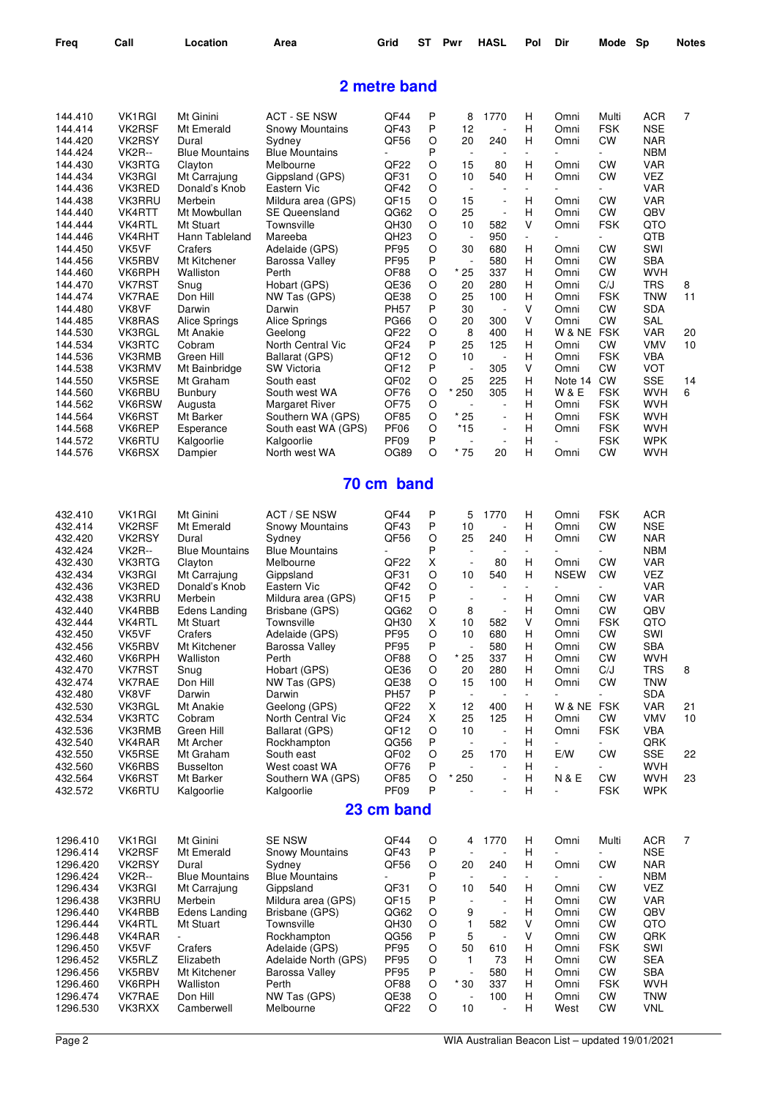| Freq                 | Call                    | Location                      | Area                                       | Grid                            | ST     | Pwr                            | <b>HASL</b>                                | Pol                      | Dir                 | Mode                     | <b>Sp</b>                | <b>Notes</b>   |
|----------------------|-------------------------|-------------------------------|--------------------------------------------|---------------------------------|--------|--------------------------------|--------------------------------------------|--------------------------|---------------------|--------------------------|--------------------------|----------------|
|                      |                         |                               |                                            | 2 metre band                    |        |                                |                                            |                          |                     |                          |                          |                |
| 144.410              | VK <sub>1</sub> RGI     | Mt Ginini                     | <b>ACT - SE NSW</b>                        | QF44                            | Ρ      | 8                              | 1770                                       | н                        | Omni                | Multi                    | ACR                      | 7              |
| 144.414              | VK2RSF                  | Mt Emerald                    | <b>Snowy Mountains</b>                     | QF43                            | P      | 12                             |                                            | н                        | Omni                | <b>FSK</b>               | <b>NSE</b>               |                |
| 144.420              | VK2RSY                  | Dural                         | Sydney                                     | QF56                            | O      | 20                             | 240                                        | Н                        | Omni                | CW                       | <b>NAR</b>               |                |
| 144.424              | <b>VK2R--</b>           | <b>Blue Mountains</b>         | <b>Blue Mountains</b>                      |                                 | P      | $\overline{\phantom{a}}$       |                                            | $\overline{\phantom{a}}$ |                     | $\overline{\phantom{a}}$ | <b>NBM</b>               |                |
| 144.430              | <b>VK3RTG</b>           | Clayton                       | Melbourne                                  | QF <sub>22</sub>                | O      | 15                             | 80                                         | Н                        | Omni                | <b>CW</b>                | <b>VAR</b>               |                |
| 144.434              | VK3RGI                  | Mt Carrajung                  | Gippsland (GPS)                            | QF31                            | O      | 10                             | 540                                        | Н                        | Omni                | <b>CW</b>                | VEZ                      |                |
| 144.436              | VK3RED                  | Donald's Knob                 | Eastern Vic                                | QF42                            | O      | $\overline{\phantom{a}}$       |                                            | $\overline{\phantom{a}}$ |                     |                          | <b>VAR</b>               |                |
| 144.438              | <b>VK3RRU</b>           | Merbein                       | Mildura area (GPS)<br><b>SE Queensland</b> | QF <sub>15</sub>                | O<br>O | 15<br>25                       | $\overline{\phantom{a}}$<br>$\overline{a}$ | н<br>H                   | Omni<br>Omni        | <b>CW</b><br><b>CW</b>   | VAR                      |                |
| 144.440<br>144.444   | VK4RTT<br>VK4RTL        | Mt Mowbullan<br>Mt Stuart     | Townsville                                 | QG62<br>QH30                    | O      | 10                             | 582                                        | V                        | Omni                | <b>FSK</b>               | QBV<br>QTO               |                |
| 144.446              | VK4RHT                  | Hann Tableland                | Mareeba                                    | QH <sub>23</sub>                | O      | $\overline{a}$                 | 950                                        | $\overline{\phantom{a}}$ |                     |                          | QTB                      |                |
| 144.450              | VK5VF                   | Crafers                       | Adelaide (GPS)                             | <b>PF95</b>                     | O      | 30                             | 680                                        | н                        | Omni                | <b>CW</b>                | SWI                      |                |
| 144.456              | VK5RBV                  | Mt Kitchener                  | Barossa Valley                             | <b>PF95</b>                     | Ρ      |                                | 580                                        | н                        | Omni                | СW                       | <b>SBA</b>               |                |
| 144.460              | VK6RPH                  | Walliston                     | Perth                                      | OF88                            | O      | * 25                           | 337                                        | н                        | Omni                | CW                       | <b>WVH</b>               |                |
| 144.470              | <b>VK7RST</b>           | Snug                          | Hobart (GPS)                               | QE36                            | O      | 20                             | 280                                        | н                        | Omni                | C/J                      | <b>TRS</b>               | 8              |
| 144.474              | <b>VK7RAE</b>           | Don Hill                      | NW Tas (GPS)                               | QE38                            | O      | 25                             | 100                                        | н                        | Omni                | <b>FSK</b>               | TNW                      | 11             |
| 144.480              | VK8VF                   | Darwin                        | Darwin                                     | <b>PH57</b>                     | Ρ      | 30                             |                                            | V<br>V                   | Omni                | <b>CW</b>                | <b>SDA</b>               |                |
| 144.485<br>144.530   | VK8RAS<br>VK3RGL        | Alice Springs<br>Mt Anakie    | Alice Springs<br>Geelong                   | <b>PG66</b><br>QF <sub>22</sub> | O<br>O | 20<br>8                        | 300<br>400                                 | н                        | Omni<br>W & NE FSK  | <b>CW</b>                | <b>SAL</b><br>VAR        | 20             |
| 144.534              | VK3RTC                  | Cobram                        | North Central Vic                          | QF <sub>24</sub>                | P      | 25                             | 125                                        | н                        | Omni                | <b>CW</b>                | <b>VMV</b>               | 10             |
| 144.536              | VK3RMB                  | Green Hill                    | Ballarat (GPS)                             | QF <sub>12</sub>                | O      | 10                             |                                            | н                        | Omni                | <b>FSK</b>               | VBA                      |                |
| 144.538              | VK3RMV                  | Mt Bainbridge                 | <b>SW Victoria</b>                         | QF <sub>12</sub>                | P      | $\overline{a}$                 | 305                                        | V                        | Omni                | CW                       | <b>VOT</b>               |                |
| 144.550              | VK5RSE                  | Mt Graham                     | South east                                 | QF <sub>02</sub>                | O      | 25                             | 225                                        | н                        | Note 14             | CW                       | SSE                      | 14             |
| 144.560              | VK6RBU                  | <b>Bunbury</b>                | South west WA                              | OF76                            | O      | 250                            | 305                                        | н                        | W & E               | <b>FSK</b>               | WVH                      | 6              |
| 144.562              | VK6RSW                  | Augusta                       | <b>Margaret River</b>                      | OF75                            | O      |                                |                                            | н                        | Omni                | <b>FSK</b>               | <b>WVH</b>               |                |
| 144.564              | VK6RST                  | Mt Barker                     | Southern WA (GPS)                          | OF85                            | O      | $*25$                          |                                            | H                        | Omni                | <b>FSK</b>               | <b>WVH</b>               |                |
| 144.568              | VK6REP                  | Esperance                     | South east WA (GPS)                        | PF <sub>06</sub>                | O      | *15                            | $\overline{a}$                             | Н                        | Omni                | <b>FSK</b>               | <b>WVH</b>               |                |
| 144.572              | VK6RTU                  | Kalgoorlie                    | Kalgoorlie                                 | PF <sub>09</sub>                | Ρ      |                                |                                            | Н                        |                     | <b>FSK</b>               | <b>WPK</b>               |                |
| 144.576              | VK6RSX                  | Dampier                       | North west WA                              | <b>OG89</b>                     | O      | $*75$                          | 20                                         | н                        | Omni                | CW                       | WVH                      |                |
|                      |                         |                               |                                            | 70 cm band                      |        |                                |                                            |                          |                     |                          |                          |                |
| 432.410              | VK <sub>1</sub> RGI     | Mt Ginini                     | ACT / SE NSW                               | QF44                            | Ρ      | 5                              | 1770                                       | н                        | Omni                | <b>FSK</b>               | <b>ACR</b>               |                |
| 432.414              | VK2RSF                  | Mt Emerald                    | <b>Snowy Mountains</b>                     | QF43                            | P      | 10                             |                                            | н                        | Omni                | СW                       | <b>NSE</b>               |                |
| 432.420              | VK2RSY                  | Dural                         | Sydney                                     | QF56                            | O      | 25                             | 240                                        | н                        | Omni                | CW                       | <b>NAR</b>               |                |
| 432.424              | <b>VK2R--</b>           | <b>Blue Mountains</b>         | <b>Blue Mountains</b>                      |                                 | P      | $\overline{a}$                 |                                            | $\overline{\phantom{a}}$ |                     |                          | <b>NBM</b>               |                |
| 432.430<br>432.434   | VK3RTG<br><b>VK3RGI</b> | Clayton                       | Melbourne<br>Gippsland                     | QF <sub>22</sub><br>QF31        | X<br>O | $\overline{\phantom{a}}$<br>10 | 80<br>540                                  | н<br>н                   | Omni<br><b>NSEW</b> | CW<br>CW                 | <b>VAR</b><br>VEZ        |                |
| 432.436              | VK3RED                  | Mt Carrajung<br>Donald's Knob | Eastern Vic                                | QF42                            | O      | $\overline{\phantom{a}}$       |                                            | $\overline{\phantom{a}}$ |                     | Ξ.                       | VAR                      |                |
| 432.438              | VK3RRU                  | Merbein                       | Mildura area (GPS)                         | QF15                            | Ρ      | $\overline{\phantom{a}}$       |                                            | Н                        | Omni                | CW                       | <b>VAR</b>               |                |
| 432.440              | VK4RBB                  | Edens Landing                 | Brisbane (GPS)                             | QG62                            | O      | 8                              | $\overline{a}$                             | Н                        | Omni                | <b>CW</b>                | QBV                      |                |
| 432.444              | VK4RTL                  | Mt Stuart                     | Townsville                                 | QH30                            | х      | 10                             | 582                                        | V                        | Omni                | FSK                      | QTO                      |                |
| 432.450              | VK5VF                   | Crafers                       | Adelaide (GPS)                             | <b>PF95</b>                     | O      | 10                             | 680                                        | Н                        | Omni                | <b>CW</b>                | SWI                      |                |
| 432.456              | VK5RBV                  | Mt Kitchener                  | Barossa Valley                             | <b>PF95</b>                     | Ρ      | $\overline{a}$                 | 580                                        | н                        | Omni                | CW                       | <b>SBA</b>               |                |
| 432.460              | VK6RPH                  | Walliston                     | Perth                                      | OF88                            | O      | $*25$                          | 337                                        | н                        | Omni                | CW                       | <b>WVH</b>               |                |
| 432.470              | <b>VK7RST</b>           | Snug                          | Hobart (GPS)                               | QE36                            | O      | 20                             | 280                                        | н                        | Omni                | C/J                      | <b>TRS</b>               | 8              |
| 432.474<br>432.480   | VK7RAE<br>VK8VF         | Don Hill<br>Darwin            | NW Tas (GPS)<br>Darwin                     | QE38<br><b>PH57</b>             | O<br>Ρ | 15<br>$\overline{\phantom{a}}$ | 100                                        | Н                        | Omni                | CW                       | <b>TNW</b><br><b>SDA</b> |                |
| 432.530              | <b>VK3RGL</b>           | Mt Anakie                     | Geelong (GPS)                              | QF <sub>22</sub>                | X      | 12                             | 400                                        | н                        | W & NE FSK          |                          | <b>VAR</b>               | 21             |
| 432.534              | VK3RTC                  | Cobram                        | North Central Vic                          | QF <sub>24</sub>                | Χ      | 25                             | 125                                        | H                        | Omni                | <b>CW</b>                | <b>VMV</b>               | 10             |
| 432.536              | VK3RMB                  | Green Hill                    | Ballarat (GPS)                             | QF <sub>12</sub>                | O      | 10                             |                                            | H                        | Omni                | <b>FSK</b>               | <b>VBA</b>               |                |
| 432.540              | VK4RAR                  | Mt Archer                     | Rockhampton                                | QG56                            | Ρ      | $\overline{\phantom{a}}$       |                                            | н                        |                     |                          | QRK                      |                |
| 432.550              | VK5RSE                  | Mt Graham                     | South east                                 | QF <sub>02</sub>                | O      | 25                             | 170                                        | н                        | E/W                 | <b>CW</b>                | SSE                      | 22             |
| 432.560              | VK6RBS                  | <b>Busselton</b>              | West coast WA                              | OF76                            | Ρ      | ÷,                             |                                            | н                        | ÷,                  |                          | <b>WVH</b>               |                |
| 432.564              | VK6RST                  | Mt Barker                     | Southern WA (GPS)                          | OF85                            | O      | 250<br>$^\star$                | ÷,                                         | Н                        | <b>N&amp;E</b>      | <b>CW</b>                | <b>WVH</b>               | 23             |
| 432.572              | VK6RTU                  | Kalgoorlie                    | Kalgoorlie                                 | PF <sub>09</sub><br>23 cm band  | P      |                                |                                            | Н                        | $\overline{a}$      | <b>FSK</b>               | <b>WPK</b>               |                |
| 1296.410             | VK1RGI                  | Mt Ginini                     | <b>SE NSW</b>                              | QF44                            | O      |                                | 1770                                       | н                        | Omni                | Multi                    | ACR                      | $\overline{7}$ |
| 1296.414             | VK2RSF                  | Mt Emerald                    | <b>Snowy Mountains</b>                     | QF43                            | P      | 4<br>$\overline{\phantom{a}}$  |                                            | н                        |                     | ÷.                       | <b>NSE</b>               |                |
| 1296.420             | VK2RSY                  | Dural                         | Sydney                                     | QF56                            | O      | 20                             | 240                                        | Н                        | Omni                | <b>CW</b>                | <b>NAR</b>               |                |
| 1296.424             | <b>VK2R--</b>           | <b>Blue Mountains</b>         | <b>Blue Mountains</b>                      |                                 | Ρ      |                                |                                            | $\overline{\phantom{a}}$ |                     |                          | <b>NBM</b>               |                |
| 1296.434             | VK3RGI                  | Mt Carrajung                  | Gippsland                                  | QF31                            | O      | 10                             | 540                                        | Н                        | Omni                | <b>CW</b>                | VEZ                      |                |
| 1296.438             | <b>VK3RRU</b>           | Merbein                       | Mildura area (GPS)                         | QF <sub>15</sub>                | Ρ      | $\overline{\phantom{a}}$       |                                            | н                        | Omni                | CW                       | VAR                      |                |
| 1296.440             | VK4RBB                  | Edens Landing                 | Brisbane (GPS)                             | QG62                            | O      | 9                              |                                            | н                        | Omni                | CW                       | QBV                      |                |
| 1296.444             | VK4RTL                  | Mt Stuart                     | Townsville                                 | QH30                            | O      | $\mathbf{1}$                   | 582                                        | ٧                        | Omni                | CW                       | QTO                      |                |
| 1296.448             | VK4RAR                  | $\frac{1}{2}$                 | Rockhampton                                | QG56                            | Ρ      | 5                              | $\blacksquare$                             | ٧                        | Omni                | <b>CW</b>                | QRK                      |                |
| 1296.450             | VK5VF                   | Crafers                       | Adelaide (GPS)                             | <b>PF95</b>                     | O      | 50                             | 610                                        | н                        | Omni                | <b>FSK</b>               | SWI                      |                |
| 1296.452<br>1296.456 | VK5RLZ<br>VK5RBV        | Elizabeth<br>Mt Kitchener     | Adelaide North (GPS)<br>Barossa Valley     | <b>PF95</b><br><b>PF95</b>      | O<br>Ρ | $\mathbf{1}$                   | 73<br>580                                  | н<br>H                   | Omni<br>Omni        | <b>CW</b><br><b>CW</b>   | <b>SEA</b><br><b>SBA</b> |                |
| 1296.460             | VK6RPH                  | Walliston                     | Perth                                      | OF88                            | O      | $*30$                          | 337                                        | н                        | Omni                | <b>FSK</b>               | <b>WVH</b>               |                |
| 1296.474             | VK7RAE                  | Don Hill                      | NW Tas (GPS)                               | QE38                            | O      | ÷,                             | 100                                        | н                        | Omni                | <b>CW</b>                | <b>TNW</b>               |                |
| 1296.530             | VK3RXX                  | Camberwell                    | Melbourne                                  | QF <sub>22</sub>                | O      | 10                             | $\blacksquare$                             | н                        | West                | <b>CW</b>                | <b>VNL</b>               |                |
|                      |                         |                               |                                            |                                 |        |                                |                                            |                          |                     |                          |                          |                |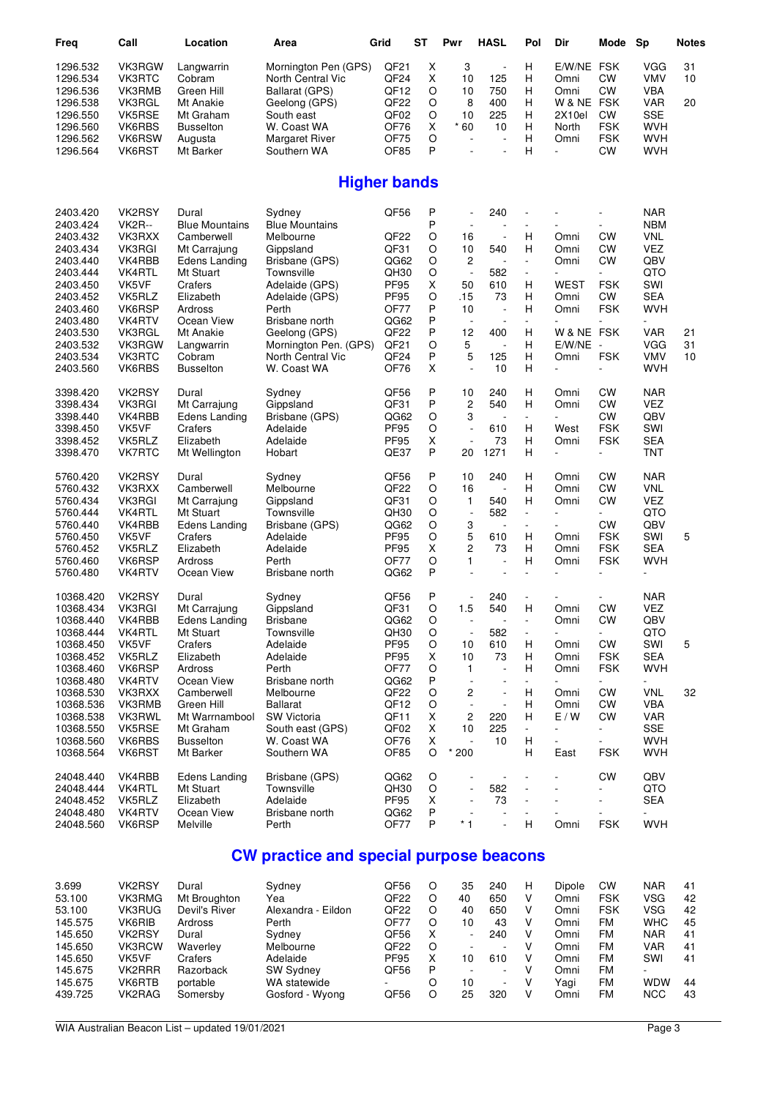| Freq                   | Call             | Location              | Area                                           | Grid                | <b>ST</b> | Pwr                                      | <b>HASL</b>              | Pol                           | Dir                      | Mode                     | Sp                       | <b>Notes</b> |
|------------------------|------------------|-----------------------|------------------------------------------------|---------------------|-----------|------------------------------------------|--------------------------|-------------------------------|--------------------------|--------------------------|--------------------------|--------------|
| 1296.532               | VK3RGW           | Langwarrin            | Mornington Pen (GPS)                           | QF <sub>21</sub>    | Χ         | 3                                        | $\overline{\phantom{a}}$ | н                             | E/W/NE FSK               |                          | <b>VGG</b>               | 31           |
| 1296.534               | <b>VK3RTC</b>    | Cobram                | North Central Vic                              | QF <sub>24</sub>    | X         | 10                                       | 125                      | н                             | Omni                     | СW                       | <b>VMV</b>               | 10           |
| 1296.536               | VK3RMB           | Green Hill            | Ballarat (GPS)                                 | QF <sub>12</sub>    | O         | 10                                       | 750                      | Н                             | Omni                     | <b>CW</b>                | <b>VBA</b>               |              |
| 1296.538               | VK3RGL           | Mt Anakie             | Geelong (GPS)                                  | QF22                | O         | 8                                        | 400                      | н                             | W & NE FSK               |                          | <b>VAR</b>               | 20           |
| 1296.550               | VK5RSE           | Mt Graham             | South east                                     | QF02                | O         | 10                                       | 225                      | н                             | 2X10el                   | <b>CW</b>                | <b>SSE</b>               |              |
| 1296.560               | VK6RBS           | <b>Busselton</b>      | W. Coast WA                                    | OF76                | X         | $*60$                                    | 10                       | H                             | North                    | <b>FSK</b>               | <b>WVH</b>               |              |
| 1296.562               | VK6RSW           | Augusta               | Margaret River                                 | OF75                | O         |                                          | $\overline{a}$           | н                             | Omni                     | <b>FSK</b>               | <b>WVH</b>               |              |
| 1296.564               | VK6RST           | Mt Barker             | Southern WA                                    | OF85                | P         |                                          |                          | н                             | $\overline{a}$           | СW                       | <b>WVH</b>               |              |
|                        |                  |                       |                                                | <b>Higher bands</b> |           |                                          |                          |                               |                          |                          |                          |              |
| 2403.420               | VK2RSY           | Dural                 | Sydney                                         | QF56                | P         | $\overline{a}$                           | 240                      | $\overline{\phantom{m}}$      |                          |                          | <b>NAR</b>               |              |
| 2403.424               | <b>VK2R--</b>    | <b>Blue Mountains</b> | <b>Blue Mountains</b>                          |                     | P         | $\sim$                                   |                          | $\blacksquare$                |                          |                          | <b>NBM</b>               |              |
| 2403.432               | VK3RXX           | Camberwell            | Melbourne                                      | QF22                | O         | 16                                       | $\overline{\phantom{a}}$ | н                             | Omni                     | <b>CW</b>                | <b>VNL</b>               |              |
| 2403.434               | <b>VK3RGI</b>    | Mt Carrajung          | Gippsland                                      | QF31                | O         | 10                                       | 540                      | н                             | Omni                     | СW                       | VEZ                      |              |
| 2403.440               | VK4RBB           | Edens Landing         | Brisbane (GPS)                                 | QG62                | O         | 2                                        |                          | $\overline{\phantom{a}}$      | Omni                     | СW                       | QBV                      |              |
| 2403.444               | <b>VK4RTL</b>    | Mt Stuart             | Townsville                                     | QH30                | O         | $\Box$                                   | 582                      | $\overline{\phantom{a}}$      |                          | $\blacksquare$           | QTO                      |              |
| 2403.450               | VK5VF            | Crafers               | Adelaide (GPS)                                 | <b>PF95</b>         | X         | 50                                       | 610                      | Н                             | WEST                     | <b>FSK</b>               | SWI                      |              |
| 2403.452               | VK5RLZ           | Elizabeth             | Adelaide (GPS)                                 | <b>PF95</b>         | O         | .15                                      | 73                       | н                             | Omni                     | СW                       | <b>SEA</b>               |              |
| 2403.460               | VK6RSP           | Ardross               | Perth                                          | OF77                | P         | 10                                       | $\sim$                   | н                             | Omni                     | <b>FSK</b>               | <b>WVH</b>               |              |
| 2403.480               | VK4RTV           | Ocean View            | Brisbane north                                 | QG62                | P         | $\overline{\phantom{a}}$                 |                          | $\overline{\phantom{a}}$      |                          |                          | ÷,                       |              |
| 2403.530               | VK3RGL           | Mt Anakie             | Geelong (GPS)                                  | QF <sub>22</sub>    | P         | 12                                       | 400                      | Н                             | W & NE FSK               |                          | <b>VAR</b>               | 21           |
| 2403.532               | VK3RGW           | Langwarrin            | Mornington Pen. (GPS)                          | QF <sub>21</sub>    | O         | 5                                        |                          | н                             | $E/W/NE -$               |                          | <b>VGG</b>               | 31           |
| 2403.534               | VK3RTC           | Cobram                | North Central Vic                              | QF24                | Ρ         | 5                                        | 125                      | Н                             | Omni                     | <b>FSK</b>               | <b>VMV</b>               | 10           |
| 2403.560               | VK6RBS           | <b>Busselton</b>      | W. Coast WA                                    | OF76                | X         |                                          | 10                       | Н                             |                          |                          | <b>WVH</b>               |              |
| 3398.420               | VK2RSY           | Dural                 | Sydney                                         | QF56                | P         | 10                                       | 240                      | H                             | Omni                     | СW                       | <b>NAR</b>               |              |
| 3398.434               | VK3RGI           | Mt Carrajung          | Gippsland                                      | QF31                | P         | $\overline{c}$                           | 540                      | H                             | Omni                     | СW                       | VEZ                      |              |
| 3398.440               | VK4RBB           | <b>Edens Landing</b>  | Brisbane (GPS)                                 | QG62                | O         | 3                                        | $\overline{a}$           | $\overline{\phantom{a}}$      |                          | <b>CW</b>                | QBV                      |              |
| 3398.450               | VK5VF            | Crafers               | Adelaide                                       | <b>PF95</b>         | O         | ÷,                                       | 610                      | H                             | West                     | <b>FSK</b>               | SWI                      |              |
| 3398.452               | VK5RLZ           | Elizabeth             | Adelaide                                       | <b>PF95</b>         | X         |                                          | 73                       | H                             | Omni                     | <b>FSK</b>               | <b>SEA</b>               |              |
| 3398.470               | VK7RTC           | Mt Wellington         | Hobart                                         | QE37                | P         | 20                                       | 1271                     | Н                             |                          | ÷                        | <b>TNT</b>               |              |
| 5760.420               | VK2RSY           | Dural                 | Sydney                                         | QF56                | P         | 10                                       | 240                      | н                             | Omni                     | СW                       | <b>NAR</b>               |              |
| 5760.432               | VK3RXX           | Camberwell            | Melbourne                                      | QF <sub>22</sub>    | O         | 16                                       | $\sim$                   | н                             | Omni                     | <b>CW</b>                | <b>VNL</b>               |              |
| 5760.434               | <b>VK3RGI</b>    | Mt Carrajung          | Gippsland                                      | QF31                | O         | $\mathbf{1}$                             | 540                      | н                             | Omni                     | СW                       | VEZ                      |              |
| 5760.444               | VK4RTL           | Mt Stuart             | Townsville                                     | QH30                | O         | $\overline{\phantom{a}}$                 | 582                      | $\overline{\phantom{a}}$      |                          | $\sim$                   | QTO                      |              |
| 5760.440               | VK4RBB           | Edens Landing         | Brisbane (GPS)                                 | QG62                | O         | 3                                        | $\overline{a}$           | $\overline{\phantom{a}}$      |                          | <b>CW</b>                | QBV                      |              |
| 5760.450               | VK5VF            | Crafers               | Adelaide                                       | <b>PF95</b>         | O         | 5                                        | 610                      | H                             | Omni                     | <b>FSK</b>               | SWI                      | 5            |
| 5760.452               | VK5RLZ           | Elizabeth             | Adelaide                                       | <b>PF95</b>         | X         | $\overline{c}$                           | 73                       | н                             | Omni                     | <b>FSK</b>               | <b>SEA</b>               |              |
| 5760.460               | VK6RSP           | Ardross               | Perth                                          | OF77                | O         | 1                                        | $\overline{\phantom{a}}$ | Н                             | Omni                     | <b>FSK</b>               | WVH                      |              |
| 5760.480               | VK4RTV           | Ocean View            | Brisbane north                                 | QG62                | P         | L,                                       |                          | $\overline{\phantom{a}}$      |                          |                          |                          |              |
| 10368.420              | VK2RSY           | Dural                 | Sydney                                         | QF56                | P         |                                          | 240                      | $\overline{\phantom{a}}$      |                          |                          | <b>NAR</b>               |              |
| 10368.434              | <b>VK3RGI</b>    | Mt Carrajung          | Gippsland                                      | QF31                | O         | 1.5                                      | 540                      | H                             | Omni                     | <b>CW</b>                | <b>VEZ</b>               |              |
| 10368.440              | VK4RBB           | <b>Edens Landing</b>  | <b>Brisbane</b>                                | QG62                | O         |                                          |                          |                               | Omni                     | CW                       | QBV                      |              |
| 10368.444              | VK4RTL           | Mt Stuart             | Townsville                                     | QH30                | O         | $\overline{\phantom{a}}$                 | 582                      | $\overline{\phantom{a}}$      | $\overline{\phantom{0}}$ | $\overline{\phantom{a}}$ | QTO                      |              |
| 10368.450              | VK5VF            | Crafers               | Adelaide                                       | PF95                | O         | 10                                       | 610                      | н                             | Omni                     | CW                       | SWI                      | 5            |
| 10368.452              | VK5RLZ           | Elizabeth             | Adelaide                                       | <b>PF95</b>         | х         | 10                                       | 73                       | Н                             | Omni                     | <b>FSK</b>               | <b>SEA</b>               |              |
| 10368.460<br>10368.480 | VK6RSP<br>VK4RTV | Ardross<br>Ocean View | Perth<br>Brisbane north                        | OF77<br>QG62        | O<br>P    | $\mathbf{1}$<br>$\overline{\phantom{a}}$ |                          | н<br>$\overline{\phantom{a}}$ | Omni                     | <b>FSK</b>               | <b>WVH</b><br>÷.         |              |
| 10368.530              | VK3RXX           | Camberwell            | Melbourne                                      | QF <sub>22</sub>    | O         | 2                                        |                          | н                             | Omni                     | СW                       | <b>VNL</b>               | 32           |
| 10368.536              | VK3RMB           | Green Hill            | <b>Ballarat</b>                                | QF12                | O         |                                          |                          | Н                             | Omni                     | CW                       | <b>VBA</b>               |              |
| 10368.538              | <b>VK3RWL</b>    | Mt Warrnambool        | SW Victoria                                    | QF11                | Χ         | 2                                        | 220                      | н                             | E/W                      | CW                       | VAR                      |              |
| 10368.550              | VK5RSE           | Mt Graham             | South east (GPS)                               | QF <sub>02</sub>    | X         | 10                                       | 225                      | $\overline{\phantom{a}}$      |                          |                          | <b>SSE</b>               |              |
| 10368.560              | VK6RBS           | <b>Busselton</b>      | W. Coast WA                                    | OF76                | X         |                                          | 10                       | Н                             |                          |                          | <b>WVH</b>               |              |
| 10368.564              | VK6RST           | Mt Barker             | Southern WA                                    | OF85                | O         | $\ast$<br>200                            |                          | H                             | East                     | <b>FSK</b>               | <b>WVH</b>               |              |
| 24048.440              | VK4RBB           | Edens Landing         | Brisbane (GPS)                                 | QG62                | O         |                                          |                          |                               |                          | СW                       | QBV                      |              |
| 24048.444              | <b>VK4RTL</b>    | Mt Stuart             | Townsville                                     | QH30                | O         |                                          | 582                      | $\qquad \qquad \blacksquare$  |                          |                          | QTO                      |              |
| 24048.452              | VK5RLZ           | Elizabeth             | Adelaide                                       | <b>PF95</b>         | X         |                                          | 73                       |                               |                          |                          | <b>SEA</b>               |              |
| 24048.480              | VK4RTV           | Ocean View            | Brisbane north                                 | QG62                | P         |                                          |                          | $\overline{\phantom{a}}$      |                          |                          | $\overline{\phantom{a}}$ |              |
| 24048.560              | VK6RSP           | Melville              | Perth                                          | OF77                | P         | $*1$                                     |                          | н                             | Omni                     | <b>FSK</b>               | <b>WVH</b>               |              |
|                        |                  |                       | <b>CW practice and special purpose beacons</b> |                     |           |                                          |                          |                               |                          |                          |                          |              |

| 3.699   | VK2RSY        | Dural         | Sydney             | QF56             |         | 35 | 240 | <b>Dipole</b> | СW        | <b>NAR</b> | 41 |
|---------|---------------|---------------|--------------------|------------------|---------|----|-----|---------------|-----------|------------|----|
| 53.100  | VK3RMG        | Mt Broughton  | Yea                | QF <sub>22</sub> |         | 40 | 650 | Omni          | FSK       | VSG        | 42 |
| 53.100  | <b>VK3RUG</b> | Devil's River | Alexandra - Eildon | QF <sub>22</sub> |         | 40 | 650 | Omni          | FSK       | VSG        | 42 |
| 145.575 | VK6RIB        | Ardross       | Perth              | <b>OF77</b>      |         | 10 | 43  | Omni          | <b>FM</b> | <b>WHC</b> | 45 |
| 145.650 | VK2RSY        | Dural         | Sydney             | QF56             | x       |    | 240 | Omni          | FM        | <b>NAR</b> | 41 |
| 145.650 | VK3RCW        | Waverley      | Melbourne          | OF <sub>22</sub> | $\circ$ |    |     | Omni          | FM        | VAR        | 41 |
| 145.650 | VK5VF         | Crafers       | Adelaide           | <b>PF95</b>      | x       | 10 | 610 | Omni          | FM        | SWI        | 41 |
| 145.675 | VK2RRR        | Razorback     | <b>SW Sydney</b>   | QF56             | P       |    |     | Omni          | <b>FM</b> |            |    |
| 145.675 | VK6RTB        | portable      | WA statewide       | ۰                |         | 10 |     | Yaqi          | FM        | <b>WDW</b> | 44 |
| 439.725 | VK2RAG        | Somersby      | Gosford - Wyong    | QF56             |         | 25 | 320 | Omni          | FM        | <b>NCC</b> | 43 |
|         |               |               |                    |                  |         |    |     |               |           |            |    |